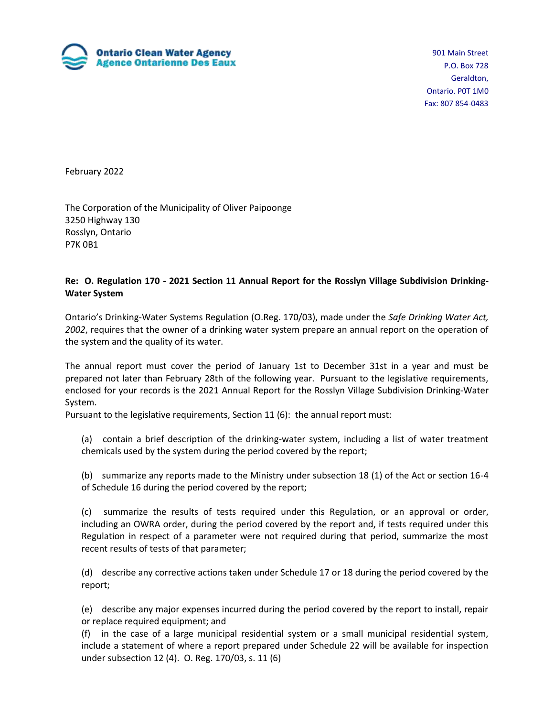

901 Main Street P.O. Box 728 Geraldton, Ontario. P0T 1M0 Fax: 807 854-0483

February 2022

The Corporation of the Municipality of Oliver Paipoonge 3250 Highway 130 Rosslyn, Ontario P7K 0B1

#### **Re: O. Regulation 170 - 2021 Section 11 Annual Report for the Rosslyn Village Subdivision Drinking-Water System**

Ontario's Drinking-Water Systems Regulation (O.Reg. 170/03), made under the *Safe Drinking Water Act, 2002*, requires that the owner of a drinking water system prepare an annual report on the operation of the system and the quality of its water.

The annual report must cover the period of January 1st to December 31st in a year and must be prepared not later than February 28th of the following year. Pursuant to the legislative requirements, enclosed for your records is the 2021 Annual Report for the Rosslyn Village Subdivision Drinking-Water System.

Pursuant to the legislative requirements, Section 11 (6): the annual report must:

(a) contain a brief description of the drinking-water system, including a list of water treatment chemicals used by the system during the period covered by the report;

(b) summarize any reports made to the Ministry under subsection 18 (1) of the Act or section 16-4 of Schedule 16 during the period covered by the report;

(c) summarize the results of tests required under this Regulation, or an approval or order, including an OWRA order, during the period covered by the report and, if tests required under this Regulation in respect of a parameter were not required during that period, summarize the most recent results of tests of that parameter;

(d) describe any corrective actions taken under Schedule 17 or 18 during the period covered by the report;

(e) describe any major expenses incurred during the period covered by the report to install, repair or replace required equipment; and

(f) in the case of a large municipal residential system or a small municipal residential system, include a statement of where a report prepared under Schedule 22 will be available for inspection under subsection 12 (4). O. Reg. 170/03, s. 11 (6)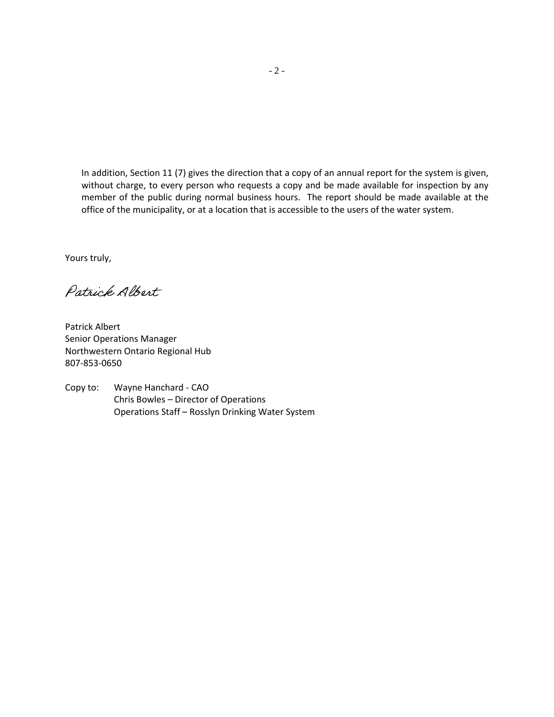In addition, Section 11 (7) gives the direction that a copy of an annual report for the system is given, without charge, to every person who requests a copy and be made available for inspection by any member of the public during normal business hours. The report should be made available at the office of the municipality, or at a location that is accessible to the users of the water system.

Yours truly,

Patrick Albert

Patrick Albert Senior Operations Manager Northwestern Ontario Regional Hub 807-853-0650

Copy to: Wayne Hanchard - CAO Chris Bowles – Director of Operations Operations Staff – Rosslyn Drinking Water System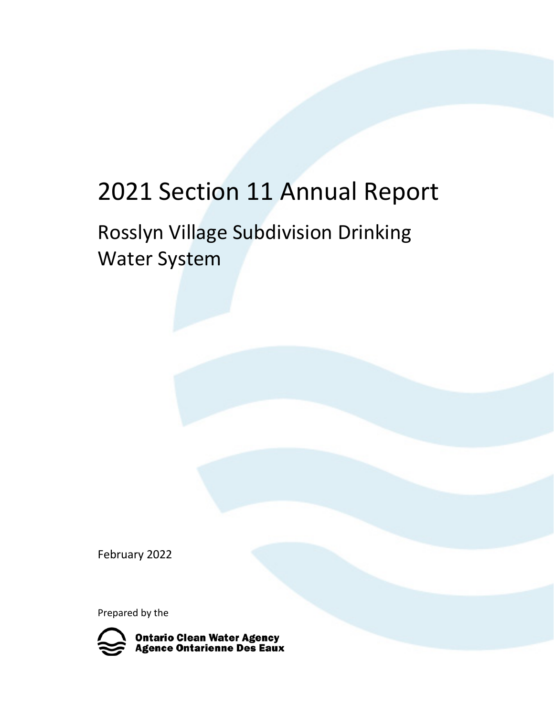### 2021 Section 11 Annual Report

### Rosslyn Village Subdivision Drinking Water System

February 2022

Prepared by the

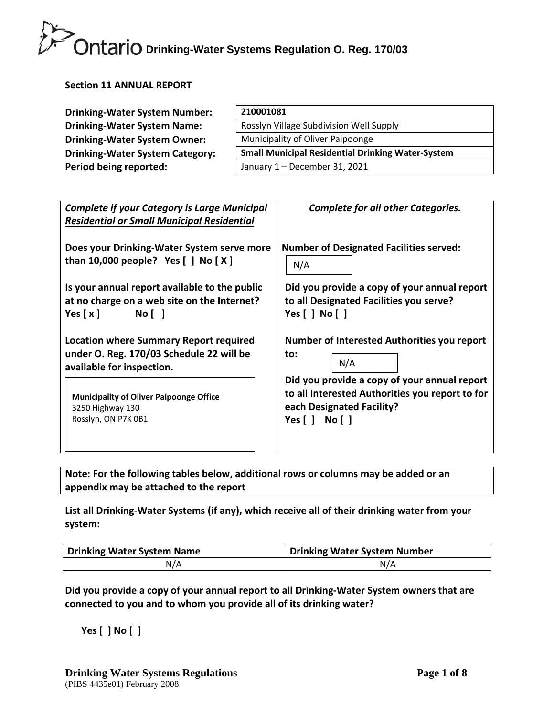#### **Section 11 ANNUAL REPORT**

| <b>Drinking-Water System Number:</b>   | 210001081                                                |
|----------------------------------------|----------------------------------------------------------|
| <b>Drinking-Water System Name:</b>     | Rosslyn Village Subdivision Well Supply                  |
| <b>Drinking-Water System Owner:</b>    | Municipality of Oliver Paipoonge                         |
| <b>Drinking-Water System Category:</b> | <b>Small Municipal Residential Drinking Water-System</b> |
| Period being reported:                 | January 1 - December 31, 2021                            |

| <b>Complete if your Category is Large Municipal</b><br><b>Residential or Small Municipal Residential</b>               | <b>Complete for all other Categories.</b>                                                                                                                                                               |  |  |
|------------------------------------------------------------------------------------------------------------------------|---------------------------------------------------------------------------------------------------------------------------------------------------------------------------------------------------------|--|--|
| Does your Drinking-Water System serve more<br>than 10,000 people? Yes $[ ]$ No $[ X ]$                                 | <b>Number of Designated Facilities served:</b><br>N/A                                                                                                                                                   |  |  |
| Is your annual report available to the public<br>at no charge on a web site on the Internet?<br>Yes $[x]$<br>No [ ]    | Did you provide a copy of your annual report<br>to all Designated Facilities you serve?<br>Yes $[$ $]$ No $[$ $]$                                                                                       |  |  |
| <b>Location where Summary Report required</b><br>under O. Reg. 170/03 Schedule 22 will be<br>available for inspection. | Number of Interested Authorities you report<br>to:<br>N/A<br>Did you provide a copy of your annual report<br>to all Interested Authorities you report to for<br>each Designated Facility?<br>Yes[] No[] |  |  |
| <b>Municipality of Oliver Paipoonge Office</b><br>3250 Highway 130<br>Rosslyn, ON P7K 0B1                              |                                                                                                                                                                                                         |  |  |
|                                                                                                                        |                                                                                                                                                                                                         |  |  |

**Note: For the following tables below, additional rows or columns may be added or an appendix may be attached to the report**

**List all Drinking-Water Systems (if any), which receive all of their drinking water from your system:**

| Drinking Water System Name | Drinking Water System Number |  |
|----------------------------|------------------------------|--|
| N/A                        | N/A                          |  |

**Did you provide a copy of your annual report to all Drinking-Water System owners that are connected to you and to whom you provide all of its drinking water?** 

**Yes [ ] No [ ]**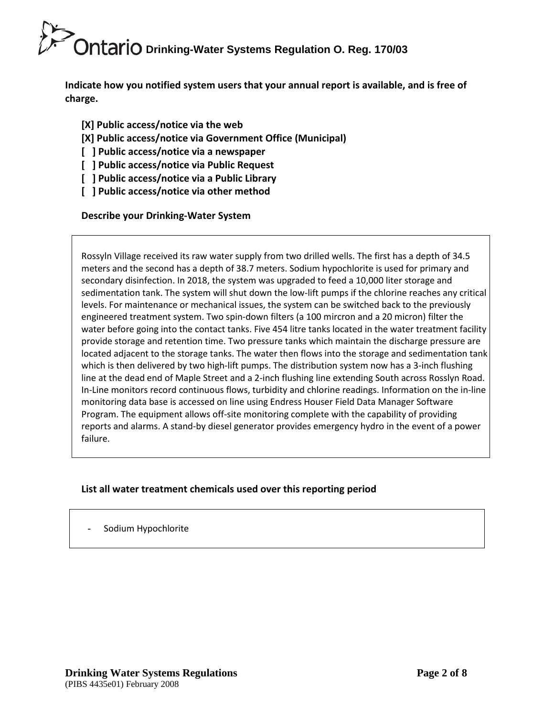**Indicate how you notified system users that your annual report is available, and is free of charge.** 

- **[X] Public access/notice via the web**
- **[X] Public access/notice via Government Office (Municipal)**
- **[ ] Public access/notice via a newspaper**
- **[ ] Public access/notice via Public Request**
- **[ ] Public access/notice via a Public Library**
- **[ ] Public access/notice via other method**

#### **Describe your Drinking-Water System**

Rossyln Village received its raw water supply from two drilled wells. The first has a depth of 34.5 meters and the second has a depth of 38.7 meters. Sodium hypochlorite is used for primary and secondary disinfection. In 2018, the system was upgraded to feed a 10,000 liter storage and sedimentation tank. The system will shut down the low-lift pumps if the chlorine reaches any critical levels. For maintenance or mechanical issues, the system can be switched back to the previously engineered treatment system. Two spin-down filters (a 100 mircron and a 20 micron) filter the water before going into the contact tanks. Five 454 litre tanks located in the water treatment facility provide storage and retention time. Two pressure tanks which maintain the discharge pressure are located adjacent to the storage tanks. The water then flows into the storage and sedimentation tank which is then delivered by two high-lift pumps. The distribution system now has a 3-inch flushing line at the dead end of Maple Street and a 2-inch flushing line extending South across Rosslyn Road. In-Line monitors record continuous flows, turbidity and chlorine readings. Information on the in-line monitoring data base is accessed on line using Endress Houser Field Data Manager Software Program. The equipment allows off-site monitoring complete with the capability of providing reports and alarms. A stand-by diesel generator provides emergency hydro in the event of a power failure.

#### **List all water treatment chemicals used over this reporting period**

|  | Sodium Hypochlorite |
|--|---------------------|
|--|---------------------|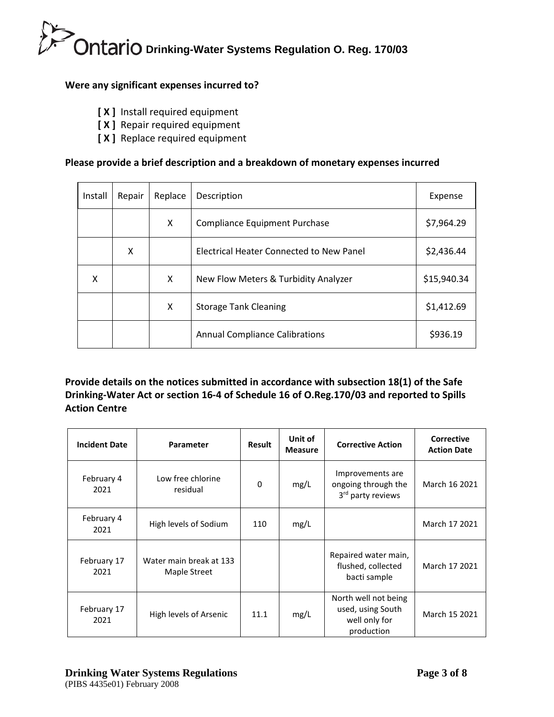#### **Were any significant expenses incurred to?**

- **[ X ]** Install required equipment
- **[ X ]** Repair required equipment
- **[ X ]** Replace required equipment

#### **Please provide a brief description and a breakdown of monetary expenses incurred**

| Install | Repair | Replace | Description                                     | Expense     |
|---------|--------|---------|-------------------------------------------------|-------------|
|         |        | X       | <b>Compliance Equipment Purchase</b>            | \$7,964.29  |
|         | x      |         | <b>Electrical Heater Connected to New Panel</b> | \$2,436.44  |
| x       |        | X       | New Flow Meters & Turbidity Analyzer            | \$15,940.34 |
|         |        | X       | <b>Storage Tank Cleaning</b>                    | \$1,412.69  |
|         |        |         | <b>Annual Compliance Calibrations</b>           | \$936.19    |

**Provide details on the notices submitted in accordance with subsection 18(1) of the Safe Drinking-Water Act or section 16-4 of Schedule 16 of O.Reg.170/03 and reported to Spills Action Centre** 

| <b>Incident Date</b> | <b>Parameter</b>                        | <b>Result</b> | Unit of<br><b>Measure</b> | <b>Corrective Action</b>                                                 | <b>Corrective</b><br><b>Action Date</b> |
|----------------------|-----------------------------------------|---------------|---------------------------|--------------------------------------------------------------------------|-----------------------------------------|
| February 4<br>2021   | Low free chlorine<br>residual           | 0             | mg/L                      | Improvements are<br>ongoing through the<br>3rd party reviews             | March 16 2021                           |
| February 4<br>2021   | High levels of Sodium                   | 110           | mg/L                      |                                                                          | March 17 2021                           |
| February 17<br>2021  | Water main break at 133<br>Maple Street |               |                           | Repaired water main,<br>flushed, collected<br>bacti sample               | March 17 2021                           |
| February 17<br>2021  | High levels of Arsenic                  | 11.1          | mg/L                      | North well not being<br>used, using South<br>well only for<br>production | March 15 2021                           |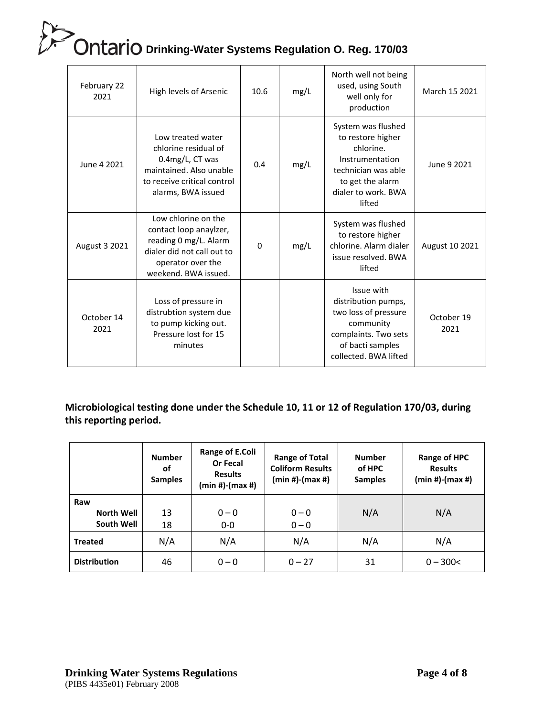| February 22<br>2021 | High levels of Arsenic                                                                                                                            | 10.6     | mg/L | North well not being<br>used, using South<br>well only for<br>production                                                                            | March 15 2021      |
|---------------------|---------------------------------------------------------------------------------------------------------------------------------------------------|----------|------|-----------------------------------------------------------------------------------------------------------------------------------------------------|--------------------|
| June 4 2021         | Low treated water<br>chlorine residual of<br>0.4mg/L, CT was<br>maintained. Also unable<br>to receive critical control<br>alarms, BWA issued      | 0.4      | mg/L | System was flushed<br>to restore higher<br>chlorine.<br>Instrumentation<br>technician was able<br>to get the alarm<br>dialer to work, BWA<br>lifted | June 9 2021        |
| August 3 2021       | Low chlorine on the<br>contact loop anaylzer,<br>reading 0 mg/L. Alarm<br>dialer did not call out to<br>operator over the<br>weekend. BWA issued. | $\Omega$ | mg/L | System was flushed<br>to restore higher<br>chlorine. Alarm dialer<br>issue resolved. BWA<br>lifted                                                  | August 10 2021     |
| October 14<br>2021  | Loss of pressure in<br>distrubtion system due<br>to pump kicking out.<br>Pressure lost for 15<br>minutes                                          |          |      | Issue with<br>distribution pumps,<br>two loss of pressure<br>community<br>complaints. Two sets<br>of bacti samples<br>collected. BWA lifted         | October 19<br>2021 |

#### **Microbiological testing done under the Schedule 10, 11 or 12 of Regulation 170/03, during this reporting period.**

|                                        | <b>Number</b><br>οf<br><b>Samples</b> | Range of E.Coli<br>Or Fecal<br><b>Results</b><br>(min #)-(max #) | <b>Range of Total</b><br><b>Coliform Results</b><br>(min #)-(max #) | <b>Number</b><br>of HPC<br><b>Samples</b> | <b>Range of HPC</b><br><b>Results</b><br>(min #)-(max #) |
|----------------------------------------|---------------------------------------|------------------------------------------------------------------|---------------------------------------------------------------------|-------------------------------------------|----------------------------------------------------------|
| Raw<br><b>North Well</b><br>South Well | 13<br>18                              | $0 - 0$<br>$0-0$                                                 | $0 - 0$<br>$0 - 0$                                                  | N/A                                       | N/A                                                      |
| <b>Treated</b>                         | N/A                                   | N/A                                                              | N/A                                                                 | N/A                                       | N/A                                                      |
| <b>Distribution</b>                    | 46                                    | $0 - 0$                                                          | $0 - 27$                                                            | 31                                        | $0 - 300 <$                                              |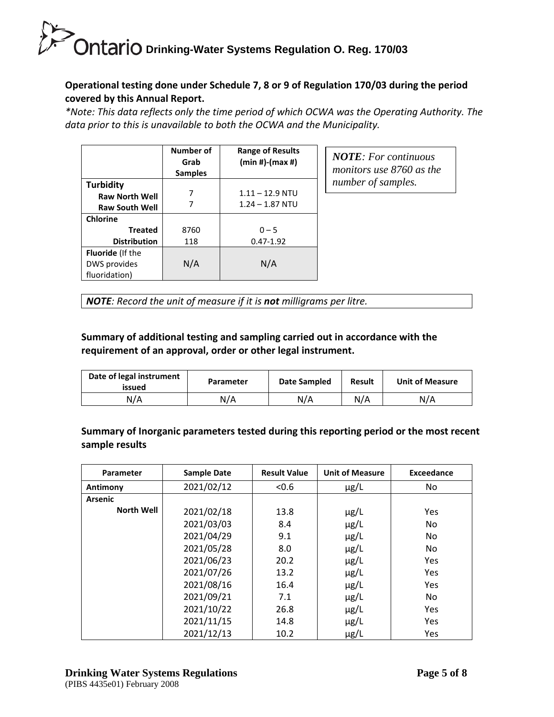#### **Operational testing done under Schedule 7, 8 or 9 of Regulation 170/03 during the period covered by this Annual Report.**

*\*Note: This data reflects only the time period of which OCWA was the Operating Authority. The data prior to this is unavailable to both the OCWA and the Municipality.*

|                         | Number of<br>Grab | <b>Range of Results</b><br>$(min #)-(max #)$ |
|-------------------------|-------------------|----------------------------------------------|
|                         | <b>Samples</b>    |                                              |
| <b>Turbidity</b>        |                   |                                              |
| <b>Raw North Well</b>   |                   | $1.11 - 12.9$ NTU                            |
| <b>Raw South Well</b>   |                   | $1.24 - 1.87$ NTU                            |
| <b>Chlorine</b>         |                   |                                              |
| <b>Treated</b>          | 8760              | $0 - 5$                                      |
| <b>Distribution</b>     | 118               | $0.47 - 1.92$                                |
| <b>Fluoride</b> (If the |                   |                                              |
| DWS provides            | N/A               | N/A                                          |
| fluoridation)           |                   |                                              |

*NOTE: For continuous monitors use 8760 as the number of samples.*

*NOTE: Record the unit of measure if it is not milligrams per litre.*

#### **Summary of additional testing and sampling carried out in accordance with the requirement of an approval, order or other legal instrument.**

| Date of legal instrument<br>issued | Parameter | Date Sampled | <b>Result</b> | <b>Unit of Measure</b> |
|------------------------------------|-----------|--------------|---------------|------------------------|
| N/A                                | N/A       | N/A          | N/A           | N/A                    |

**Summary of Inorganic parameters tested during this reporting period or the most recent sample results**

| <b>Parameter</b>  | <b>Sample Date</b> | <b>Result Value</b> | <b>Unit of Measure</b> | <b>Exceedance</b> |
|-------------------|--------------------|---------------------|------------------------|-------------------|
| Antimony          | 2021/02/12         | < 0.6               | $\mu$ g/L              | No.               |
| <b>Arsenic</b>    |                    |                     |                        |                   |
| <b>North Well</b> | 2021/02/18         | 13.8                | $\mu$ g/L              | Yes               |
|                   | 2021/03/03         | 8.4                 | $\mu$ g/L              | No                |
|                   | 2021/04/29         | 9.1                 | $\mu$ g/L              | No.               |
|                   | 2021/05/28         | 8.0                 | µg/L                   | No                |
|                   | 2021/06/23         | 20.2                | µg/L                   | Yes               |
|                   | 2021/07/26         | 13.2                | $\mu$ g/L              | Yes               |
|                   | 2021/08/16         | 16.4                | µg/L                   | <b>Yes</b>        |
|                   | 2021/09/21         | 7.1                 | $\mu$ g/L              | No                |
|                   | 2021/10/22         | 26.8                | $\mu$ g/L              | <b>Yes</b>        |
|                   | 2021/11/15         | 14.8                | µg/L                   | Yes               |
|                   | 2021/12/13         | 10.2                | µg/L                   | Yes               |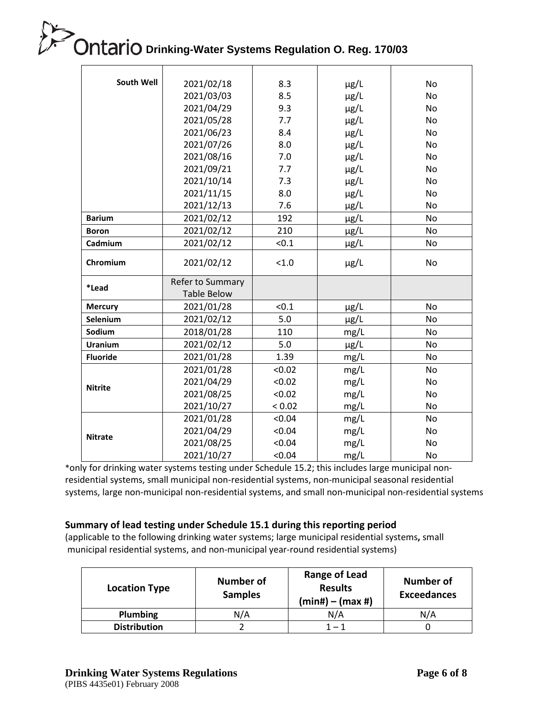| South Well      | 2021/02/18         | 8.3    | $\mu$ g/L | No        |
|-----------------|--------------------|--------|-----------|-----------|
|                 | 2021/03/03         | 8.5    | µg/L      | No        |
|                 | 2021/04/29         | 9.3    | µg/L      | No        |
|                 | 2021/05/28         | 7.7    | µg/L      | No        |
|                 | 2021/06/23         | 8.4    | µg/L      | <b>No</b> |
|                 | 2021/07/26         | 8.0    | µg/L      | <b>No</b> |
|                 | 2021/08/16         | 7.0    | µg/L      | <b>No</b> |
|                 | 2021/09/21         | 7.7    | µg/L      | <b>No</b> |
|                 | 2021/10/14         | 7.3    | µg/L      | No        |
|                 | 2021/11/15         | 8.0    | $\mu$ g/L | No        |
|                 | 2021/12/13         | 7.6    | $\mu$ g/L | <b>No</b> |
| <b>Barium</b>   | 2021/02/12         | 192    | µg/L      | No        |
| <b>Boron</b>    | 2021/02/12         | 210    | $\mu$ g/L | No        |
| Cadmium         | 2021/02/12         | < 0.1  | µg/L      | No        |
| Chromium        | 2021/02/12         | < 1.0  | $\mu$ g/L | No        |
| *Lead           | Refer to Summary   |        |           |           |
|                 | <b>Table Below</b> |        |           |           |
| <b>Mercury</b>  | 2021/01/28         | < 0.1  | µg/L      | No        |
| Selenium        | 2021/02/12         | 5.0    | µg/L      | No        |
| Sodium          | 2018/01/28         | 110    | mg/L      | No        |
| <b>Uranium</b>  | 2021/02/12         | 5.0    | µg/L      | No        |
| <b>Fluoride</b> | 2021/01/28         | 1.39   | mg/L      | No        |
|                 | 2021/01/28         | < 0.02 | mg/L      | No        |
| <b>Nitrite</b>  | 2021/04/29         | < 0.02 | mg/L      | No        |
|                 | 2021/08/25         | < 0.02 | mg/L      | No        |
|                 | 2021/10/27         | < 0.02 | mg/L      | No        |
|                 | 2021/01/28         | < 0.04 | mg/L      | <b>No</b> |
| <b>Nitrate</b>  | 2021/04/29         | < 0.04 | mg/L      | No        |
|                 | 2021/08/25         | < 0.04 | mg/L      | No        |
|                 | 2021/10/27         | < 0.04 | mg/L      | No        |

\*only for drinking water systems testing under Schedule 15.2; this includes large municipal nonresidential systems, small municipal non-residential systems, non-municipal seasonal residential systems, large non-municipal non-residential systems, and small non-municipal non-residential systems

#### **Summary of lead testing under Schedule 15.1 during this reporting period**

(applicable to the following drinking water systems; large municipal residential systems**,** small municipal residential systems, and non-municipal year-round residential systems)

| <b>Location Type</b> | <b>Number of</b><br><b>Samples</b> | <b>Range of Lead</b><br><b>Results</b><br>$(min#) - (max#)$ | <b>Number of</b><br><b>Exceedances</b> |
|----------------------|------------------------------------|-------------------------------------------------------------|----------------------------------------|
| Plumbing             | N/A                                | N/A                                                         | N/A                                    |
| <b>Distribution</b>  |                                    | $1 - 1$                                                     |                                        |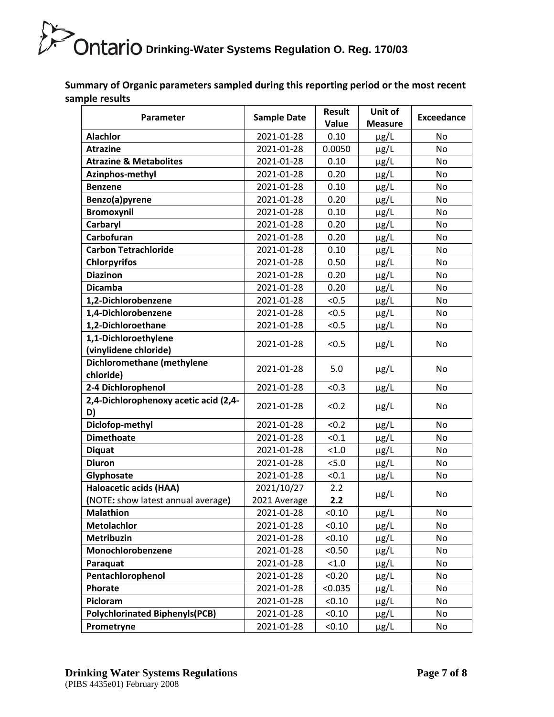**Summary of Organic parameters sampled during this reporting period or the most recent sample results**

| <b>Parameter</b>                              | <b>Sample Date</b> | <b>Result</b> | Unit of        | <b>Exceedance</b> |
|-----------------------------------------------|--------------------|---------------|----------------|-------------------|
| <b>Alachlor</b>                               |                    | Value         | <b>Measure</b> |                   |
|                                               | 2021-01-28         | 0.10          | µg/L           | No                |
| <b>Atrazine</b>                               | 2021-01-28         | 0.0050        | $\mu$ g/L      | No                |
| <b>Atrazine &amp; Metabolites</b>             | 2021-01-28         | 0.10          | $\mu$ g/L      | No                |
| Azinphos-methyl                               | 2021-01-28         | 0.20          | $\mu$ g/L      | No                |
| <b>Benzene</b>                                | 2021-01-28         | 0.10          | $\mu$ g/L      | No                |
| Benzo(a)pyrene                                | 2021-01-28         | 0.20          | $\mu$ g/L      | No                |
| <b>Bromoxynil</b>                             | 2021-01-28         | 0.10          | $\mu$ g/L      | No                |
| Carbaryl                                      | 2021-01-28         | 0.20          | $\mu$ g/L      | No                |
| Carbofuran                                    | 2021-01-28         | 0.20          | $\mu$ g/L      | No                |
| <b>Carbon Tetrachloride</b>                   | 2021-01-28         | 0.10          | $\mu$ g/L      | No                |
| <b>Chlorpyrifos</b>                           | 2021-01-28         | 0.50          | $\mu$ g/L      | No                |
| <b>Diazinon</b>                               | 2021-01-28         | 0.20          | $\mu$ g/L      | No                |
| <b>Dicamba</b>                                | 2021-01-28         | 0.20          | $\mu$ g/L      | No                |
| 1,2-Dichlorobenzene                           | 2021-01-28         | < 0.5         | $\mu$ g/L      | No                |
| 1,4-Dichlorobenzene                           | 2021-01-28         | < 0.5         | $\mu$ g/L      | No                |
| 1,2-Dichloroethane                            | 2021-01-28         | < 0.5         | $\mu$ g/L      | No                |
| 1,1-Dichloroethylene<br>(vinylidene chloride) | 2021-01-28         | < 0.5         | $\mu$ g/L      | No                |
| Dichloromethane (methylene<br>chloride)       | 2021-01-28         | 5.0           | $\mu$ g/L      | No                |
| 2-4 Dichlorophenol                            | 2021-01-28         | < 0.3         | $\mu$ g/L      | No                |
| 2,4-Dichlorophenoxy acetic acid (2,4-<br>D)   | 2021-01-28         | < 0.2         | $\mu$ g/L      | No                |
| Diclofop-methyl                               | 2021-01-28         | < 0.2         | $\mu$ g/L      | No                |
| <b>Dimethoate</b>                             | 2021-01-28         | < 0.1         | $\mu$ g/L      | No                |
| <b>Diquat</b>                                 | 2021-01-28         | < 1.0         | $\mu$ g/L      | No                |
| <b>Diuron</b>                                 | 2021-01-28         | 5.0           | $\mu$ g/L      | No                |
| Glyphosate                                    | 2021-01-28         | < 0.1         | $\mu$ g/L      | No                |
| Haloacetic acids (HAA)                        | 2021/10/27         | 2.2           |                |                   |
| (NOTE: show latest annual average)            | 2021 Average       | 2.2           | $\mu$ g/L      | No                |
| <b>Malathion</b>                              | 2021-01-28         | < 0.10        | $\mu$ g/L      | No                |
| <b>Metolachlor</b>                            | 2021-01-28         | < 0.10        | $\mu$ g/L      | No                |
| Metribuzin                                    | 2021-01-28         | < 0.10        | $\mu$ g/L      | No                |
| Monochlorobenzene                             | 2021-01-28         | < 0.50        | $\mu$ g/L      | No                |
| Paraquat                                      | 2021-01-28         | < 1.0         | $\mu$ g/L      | No                |
| Pentachlorophenol                             | 2021-01-28         | < 0.20        | $\mu$ g/L      | No                |
| Phorate                                       | 2021-01-28         | < 0.035       | µg/L           | No                |
| Picloram                                      | 2021-01-28         | < 0.10        | $\mu$ g/L      | No                |
| <b>Polychlorinated Biphenyls(PCB)</b>         | 2021-01-28         | < 0.10        | $\mu$ g/L      | No                |
| Prometryne                                    | 2021-01-28         | < 0.10        | µg/L           | No                |